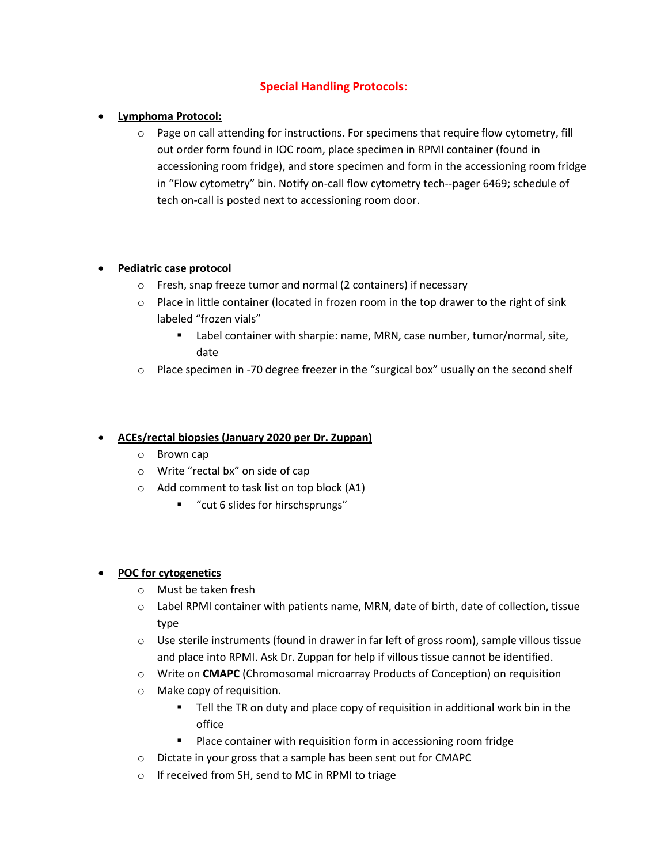# **Special Handling Protocols:**

## • **Lymphoma Protocol:**

 $\circ$  Page on call attending for instructions. For specimens that require flow cytometry, fill out order form found in IOC room, place specimen in RPMI container (found in accessioning room fridge), and store specimen and form in the accessioning room fridge in "Flow cytometry" bin. Notify on-call flow cytometry tech--pager 6469; schedule of tech on-call is posted next to accessioning room door.

### • **Pediatric case protocol**

- o Fresh, snap freeze tumor and normal (2 containers) if necessary
- $\circ$  Place in little container (located in frozen room in the top drawer to the right of sink labeled "frozen vials"
	- Label container with sharpie: name, MRN, case number, tumor/normal, site, date
- o Place specimen in -70 degree freezer in the "surgical box" usually on the second shelf

#### • **ACEs/rectal biopsies (January 2020 per Dr. Zuppan)**

- o Brown cap
- o Write "rectal bx" on side of cap
- o Add comment to task list on top block (A1)
	- "cut 6 slides for hirschsprungs"

#### • **POC for cytogenetics**

- o Must be taken fresh
- o Label RPMI container with patients name, MRN, date of birth, date of collection, tissue type
- $\circ$  Use sterile instruments (found in drawer in far left of gross room), sample villous tissue and place into RPMI. Ask Dr. Zuppan for help if villous tissue cannot be identified.
- o Write on **CMAPC** (Chromosomal microarray Products of Conception) on requisition
- o Make copy of requisition.
	- Tell the TR on duty and place copy of requisition in additional work bin in the office
	- Place container with requisition form in accessioning room fridge
- o Dictate in your gross that a sample has been sent out for CMAPC
- o If received from SH, send to MC in RPMI to triage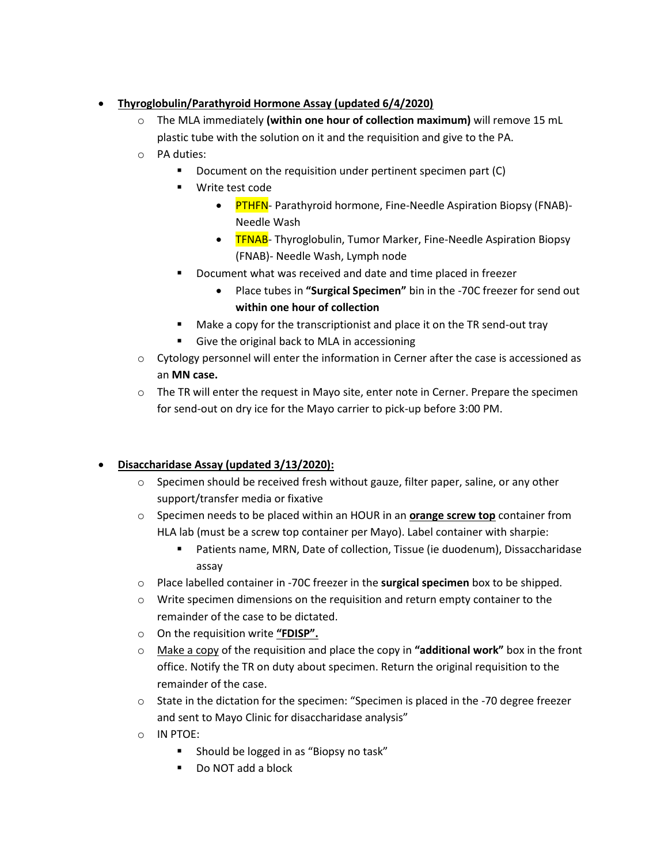## • **Thyroglobulin/Parathyroid Hormone Assay (updated 6/4/2020)**

- o The MLA immediately **(within one hour of collection maximum)** will remove 15 mL plastic tube with the solution on it and the requisition and give to the PA.
- o PA duties:
	- Document on the requisition under pertinent specimen part (C)
	- Write test code
		- **PTHFN** Parathyroid hormone, Fine-Needle Aspiration Biopsy (FNAB)-Needle Wash
		- TFNAB- Thyroglobulin, Tumor Marker, Fine-Needle Aspiration Biopsy (FNAB)- Needle Wash, Lymph node
	- Document what was received and date and time placed in freezer
		- Place tubes in **"Surgical Specimen"** bin in the -70C freezer for send out **within one hour of collection**
	- Make a copy for the transcriptionist and place it on the TR send-out tray
	- Give the original back to MLA in accessioning
- $\circ$  Cytology personnel will enter the information in Cerner after the case is accessioned as an **MN case.**
- $\circ$  The TR will enter the request in Mayo site, enter note in Cerner. Prepare the specimen for send-out on dry ice for the Mayo carrier to pick-up before 3:00 PM.

# • **Disaccharidase Assay (updated 3/13/2020):**

- o Specimen should be received fresh without gauze, filter paper, saline, or any other support/transfer media or fixative
- o Specimen needs to be placed within an HOUR in an **orange screw top** container from HLA lab (must be a screw top container per Mayo). Label container with sharpie:
	- Patients name, MRN, Date of collection, Tissue (ie duodenum), Dissaccharidase assay
- o Place labelled container in -70C freezer in the **surgical specimen** box to be shipped.
- o Write specimen dimensions on the requisition and return empty container to the remainder of the case to be dictated.
- o On the requisition write **"FDISP".**
- o Make a copy of the requisition and place the copy in **"additional work"** box in the front office. Notify the TR on duty about specimen. Return the original requisition to the remainder of the case.
- $\circ$  State in the dictation for the specimen: "Specimen is placed in the -70 degree freezer and sent to Mayo Clinic for disaccharidase analysis"
- o IN PTOE:
	- Should be logged in as "Biopsy no task"
	- Do NOT add a block